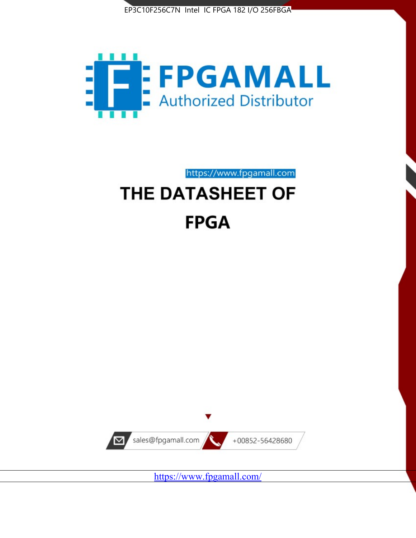



https://www.fpgamall.com

# THE DATASHEET OF **FPGA**



<https://www.fpgamall.com/>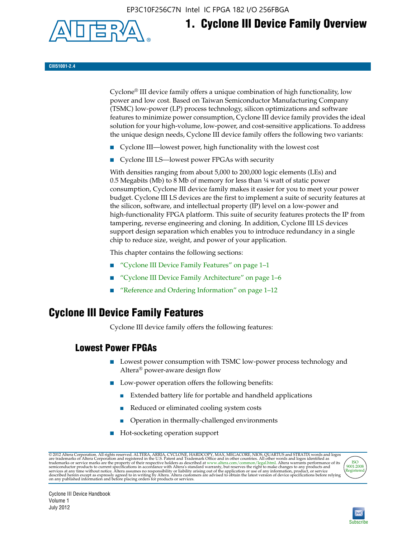EP3C10F256C7N Intel IC FPGA 182 I/O 256FBGA



# **1. Cyclone III Device Family Overview**

#### **CIII51001-2.4**

Cyclone® III device family offers a unique combination of high functionality, low power and low cost. Based on Taiwan Semiconductor Manufacturing Company (TSMC) low-power (LP) process technology, silicon optimizations and software features to minimize power consumption, Cyclone III device family provides the ideal solution for your high-volume, low-power, and cost-sensitive applications. To address the unique design needs, Cyclone III device family offers the following two variants:

- Cyclone III—lowest power, high functionality with the lowest cost
- Cyclone III LS—lowest power FPGAs with security

With densities ranging from about 5,000 to 200,000 logic elements (LEs) and 0.5 Megabits (Mb) to 8 Mb of memory for less than  $\frac{1}{4}$  watt of static power consumption, Cyclone III device family makes it easier for you to meet your power budget. Cyclone III LS devices are the first to implement a suite of security features at the silicon, software, and intellectual property (IP) level on a low-power and high-functionality FPGA platform. This suite of security features protects the IP from tampering, reverse engineering and cloning. In addition, Cyclone III LS devices support design separation which enables you to introduce redundancy in a single chip to reduce size, weight, and power of your application.

This chapter contains the following sections:

- "Cyclone III Device Family Features" on page 1–1
- "Cyclone III Device Family Architecture" on page 1–6
- "Reference and Ordering Information" on page 1–12

## **Cyclone III Device Family Features**

Cyclone III device family offers the following features:

#### **Lowest Power FPGAs**

- Lowest power consumption with TSMC low-power process technology and Altera® power-aware design flow
- Low-power operation offers the following benefits:
	- Extended battery life for portable and handheld applications
	- Reduced or eliminated cooling system costs
	- Operation in thermally-challenged environments
- Hot-socketing operation support

@ 2012 Altera Corporation. All rights reserved. ALTERA, ARRIA, CYCLONE, HARDCOPY, MAX, MEGACORE, NIOS, QUARTUS and STRATIX words and logos are trademarks of Altera Corporation and registered in the U.S. Patent and Trademar



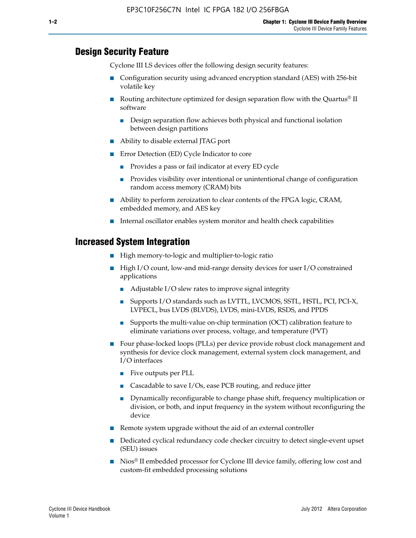#### **Design Security Feature**

Cyclone III LS devices offer the following design security features:

- Configuration security using advanced encryption standard (AES) with 256-bit volatile key
- **■** Routing architecture optimized for design separation flow with the Quartus<sup>®</sup> II software
	- Design separation flow achieves both physical and functional isolation between design partitions
- Ability to disable external JTAG port
- Error Detection (ED) Cycle Indicator to core
	- Provides a pass or fail indicator at every ED cycle
	- Provides visibility over intentional or unintentional change of configuration random access memory (CRAM) bits
- Ability to perform zeroization to clear contents of the FPGA logic, CRAM, embedded memory, and AES key
- Internal oscillator enables system monitor and health check capabilities

#### **Increased System Integration**

- High memory-to-logic and multiplier-to-logic ratio
- High I/O count, low-and mid-range density devices for user I/O constrained applications
	- Adjustable I/O slew rates to improve signal integrity
	- Supports I/O standards such as LVTTL, LVCMOS, SSTL, HSTL, PCI, PCI-X, LVPECL, bus LVDS (BLVDS), LVDS, mini-LVDS, RSDS, and PPDS
	- Supports the multi-value on-chip termination (OCT) calibration feature to eliminate variations over process, voltage, and temperature (PVT)
- Four phase-locked loops (PLLs) per device provide robust clock management and synthesis for device clock management, external system clock management, and I/O interfaces
	- Five outputs per PLL
	- Cascadable to save I/Os, ease PCB routing, and reduce jitter
	- Dynamically reconfigurable to change phase shift, frequency multiplication or division, or both, and input frequency in the system without reconfiguring the device
- Remote system upgrade without the aid of an external controller
- Dedicated cyclical redundancy code checker circuitry to detect single-event upset (SEU) issues
- Nios<sup>®</sup> II embedded processor for Cyclone III device family, offering low cost and custom-fit embedded processing solutions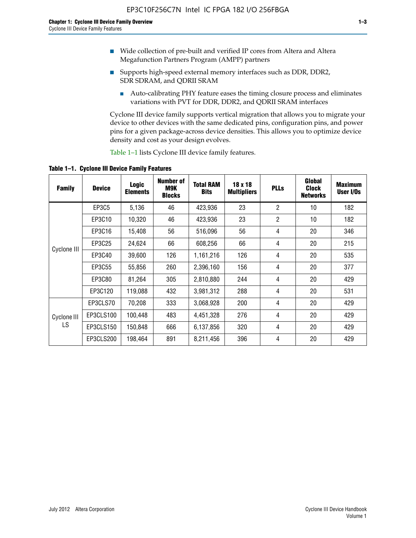- Wide collection of pre-built and verified IP cores from Altera and Altera Megafunction Partners Program (AMPP) partners
- Supports high-speed external memory interfaces such as DDR, DDR2, SDR SDRAM, and QDRII SRAM
	- Auto-calibrating PHY feature eases the timing closure process and eliminates variations with PVT for DDR, DDR2, and QDRII SRAM interfaces

Cyclone III device family supports vertical migration that allows you to migrate your device to other devices with the same dedicated pins, configuration pins, and power pins for a given package-across device densities. This allows you to optimize device density and cost as your design evolves.

Table 1–1 lists Cyclone III device family features.

**Table 1–1. Cyclone III Device Family Features**

| <b>Family</b> | <b>Device</b> | Logic<br><b>Elements</b> | <b>Number of</b><br>M9K<br><b>Blocks</b> | <b>Total RAM</b><br><b>Bits</b> | 18 x 18<br><b>Multipliers</b> | <b>PLLs</b>    | Global<br><b>Clock</b><br><b>Networks</b> | <b>Maximum</b><br>User I/Os |
|---------------|---------------|--------------------------|------------------------------------------|---------------------------------|-------------------------------|----------------|-------------------------------------------|-----------------------------|
|               | EP3C5         | 5,136                    | 46                                       | 423,936                         | 23                            | $\overline{2}$ | 10                                        | 182                         |
|               | EP3C10        | 10,320                   | 46                                       | 423,936                         | 23                            | $\overline{2}$ | 10                                        | 182                         |
|               | EP3C16        | 15,408                   | 56                                       | 516,096                         | 56                            | 4              | 20                                        | 346                         |
|               | EP3C25        | 24,624                   | 66                                       | 608,256                         | 66                            | 4              | 20                                        | 215                         |
| Cyclone III   | EP3C40        | 39,600                   | 126                                      | 1,161,216                       | 126                           | 4              | 20                                        | 535                         |
|               | EP3C55        | 55,856                   | 260                                      | 2,396,160                       | 156                           | 4              | 20                                        | 377                         |
|               | EP3C80        | 81,264                   | 305                                      | 2,810,880                       | 244                           | 4              | 20                                        | 429                         |
|               | EP3C120       | 119,088                  | 432                                      | 3,981,312                       | 288                           | 4              | 20                                        | 531                         |
|               | EP3CLS70      | 70,208                   | 333                                      | 3,068,928                       | 200                           | 4              | 20                                        | 429                         |
| Cyclone III   | EP3CLS100     | 100,448                  | 483                                      | 4,451,328                       | 276                           | 4              | 20                                        | 429                         |
| LS            | EP3CLS150     | 150,848                  | 666                                      | 6,137,856                       | 320                           | 4              | 20                                        | 429                         |
|               | EP3CLS200     | 198,464                  | 891                                      | 8,211,456                       | 396                           | 4              | 20                                        | 429                         |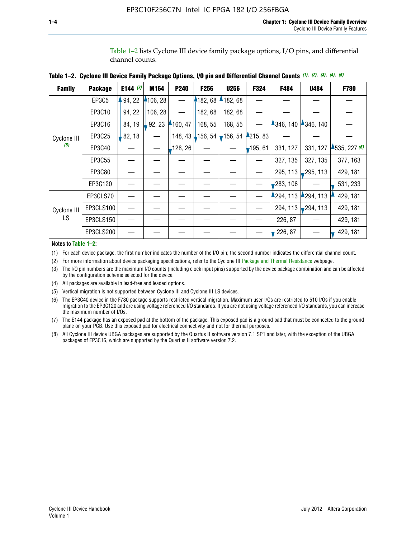Table 1–2 lists Cyclone III device family package options, I/O pins, and differential channel counts.

| <b>Family</b> | <b>Package</b> | E144 $(7)$ | M164     | P240     | F <sub>256</sub>                            | <b>U256</b> | F324       | F484     | U484        | F780           |
|---------------|----------------|------------|----------|----------|---------------------------------------------|-------------|------------|----------|-------------|----------------|
|               | EP3C5          | 94, 22     | 4106, 28 |          | 182,68                                      | 182, 68     |            |          |             |                |
|               | EP3C10         | 94, 22     | 106, 28  |          | 182, 68                                     | 182,68      |            |          |             |                |
|               | EP3C16         | 84, 19     | 92, 23   | 160, 47  | 168, 55                                     | 168, 55     |            | 346, 140 | 4346, 140   |                |
| Cyclone III   | EP3C25         | 82, 18     |          | 148, 43  | $\frac{1}{2}$ 156, 54 $\frac{1}{2}$ 156, 54 |             | 4215, 83   |          |             |                |
| (8)           | EP3C40         |            |          | ,128, 26 |                                             |             | $-195, 61$ | 331, 127 | 331, 127    | $-535, 227(6)$ |
|               | EP3C55         |            |          |          |                                             |             |            | 327, 135 | 327, 135    | 377, 163       |
|               | EP3C80         |            |          |          |                                             |             |            | 295, 113 | ,295, 113   | 429, 181       |
|               | EP3C120        |            |          |          |                                             |             |            | 283, 106 |             | 531, 233       |
|               | EP3CLS70       |            |          |          |                                             |             |            | 294, 113 | $-294, 113$ | 429, 181       |
| Cyclone III   | EP3CLS100      |            |          |          |                                             |             |            | 294, 113 | $-294, 113$ | 429, 181       |
| LS.           | EP3CLS150      |            |          |          |                                             |             |            | 226, 87  |             | 429, 181       |
|               | EP3CLS200      |            |          |          |                                             |             |            | 226, 87  |             | 429, 181       |

|  | Table 1–2. Cyclone III Device Family Package Options, I/O pin and Differential Channel Counts (1), (2), (3), (4), (5) |  |  |  |  |  |  |  |  |
|--|-----------------------------------------------------------------------------------------------------------------------|--|--|--|--|--|--|--|--|
|--|-----------------------------------------------------------------------------------------------------------------------|--|--|--|--|--|--|--|--|

#### **Notes to Table 1–2:**

(1) For each device package, the first number indicates the number of the I/O pin; the second number indicates the differential channel count.

(2) For more information about device packaging specifications, refer to the Cyclone III [Package and Thermal Resistance](http://www.altera.com/support/devices/packaging/specifications/pkg-pin/dev-package-listing.jsp?device=Cyclone_III) webpage.

(3) The I/O pin numbers are the maximum I/O counts (including clock input pins) supported by the device package combination and can be affected by the configuration scheme selected for the device.

(4) All packages are available in lead-free and leaded options.

(5) Vertical migration is not supported between Cyclone III and Cyclone III LS devices.

(6) The EP3C40 device in the F780 package supports restricted vertical migration. Maximum user I/Os are restricted to 510 I/Os if you enable migration to the EP3C120 and are using voltage referenced I/O standards. If you are not using voltage referenced I/O standards, you can increase the maximum number of I/Os.

(7) The E144 package has an exposed pad at the bottom of the package. This exposed pad is a ground pad that must be connected to the ground plane on your PCB. Use this exposed pad for electrical connectivity and not for thermal purposes.

(8) All Cyclone III device UBGA packages are supported by the Quartus II software version 7.1 SP1 and later, with the exception of the UBGA packages of EP3C16, which are supported by the Quartus II software version 7.2.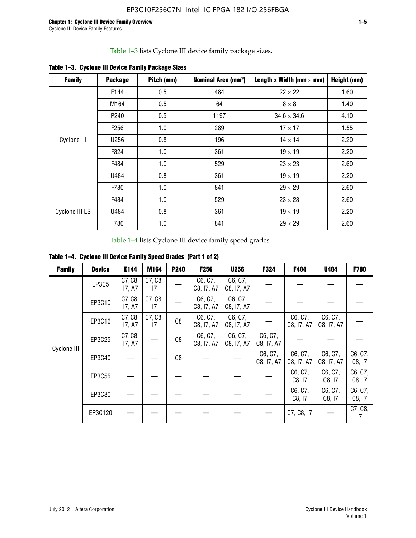Table 1–3 lists Cyclone III device family package sizes.

| <b>Family</b>  | <b>Package</b>   | Pitch (mm) | Nominal Area (mm <sup>2</sup> ) | Length x Width (mm $\times$ mm) | Height (mm) |
|----------------|------------------|------------|---------------------------------|---------------------------------|-------------|
|                | E144             | 0.5        | 484                             | $22 \times 22$                  | 1.60        |
|                | M164             | 0.5        | 64                              | $8 \times 8$                    | 1.40        |
|                | P <sub>240</sub> | 0.5        | 1197                            | $34.6 \times 34.6$              | 4.10        |
|                | F <sub>256</sub> | 1.0        | 289                             | $17 \times 17$                  | 1.55        |
| Cyclone III    | U256             | 0.8        | 196                             | $14 \times 14$                  | 2.20        |
|                | F324             | 1.0        | 361                             | $19 \times 19$                  | 2.20        |
|                | F484             | 1.0        | 529                             | $23 \times 23$                  | 2.60        |
|                | U484             | 0.8        | 361                             | $19 \times 19$                  | 2.20        |
|                | F780             | 1.0        | 841                             | $29 \times 29$                  | 2.60        |
|                | F484             | 1.0        | 529                             | $23 \times 23$                  | 2.60        |
| Cyclone III LS | U484             | 0.8        | 361                             | $19 \times 19$                  | 2.20        |
|                | F780             | 1.0        | 841                             | $29 \times 29$                  | 2.60        |

**Table 1–3. Cyclone III Device Family Package Sizes**

Table 1–4 lists Cyclone III device family speed grades.

**Table 1–4. Cyclone III Device Family Speed Grades (Part 1 of 2)**

| <b>Family</b> | <b>Device</b> | E144              | M164          | <b>P240</b> | <b>F256</b>           | <b>U256</b>           | F324                  | F484                  | U484                  | <b>F780</b>       |
|---------------|---------------|-------------------|---------------|-------------|-----------------------|-----------------------|-----------------------|-----------------------|-----------------------|-------------------|
|               | EP3C5         | C7, C8,<br>17, A7 | C7, C8,<br>17 |             | C6, C7,<br>C8, I7, A7 | C6, C7,<br>C8, I7, A7 |                       |                       |                       |                   |
|               | EP3C10        | C7, C8,<br>17, A7 | C7, C8,<br>17 |             | C6, C7,<br>C8, I7, A7 | C6, C7,<br>C8, I7, A7 |                       |                       |                       |                   |
|               | EP3C16        | C7, C8,<br>17, A7 | C7, C8,<br>17 | C8          | C6, C7,<br>C8, I7, A7 | C6, C7,<br>C8, I7, A7 |                       | C6, C7,<br>C8, I7, A7 | C6, C7,<br>C8, I7, A7 |                   |
| Cyclone III   | EP3C25        | C7, C8,<br>17, A7 |               | C8          | C6, C7,<br>C8, I7, A7 | C6, C7,<br>C8, I7, A7 | C6, C7,<br>C8, I7, A7 |                       |                       |                   |
|               | EP3C40        |                   |               | C8          |                       |                       | C6, C7,<br>C8, I7, A7 | C6, C7,<br>C8, I7, A7 | C6, C7,<br>C8, I7, A7 | C6, C7,<br>C8, 17 |
|               | EP3C55        |                   |               |             |                       |                       |                       | C6, C7,<br>C8, I7     | C6, C7,<br>C8, 17     | C6, C7,<br>C8, 17 |
|               | EP3C80        |                   |               |             |                       |                       |                       | C6, C7,<br>C8, 17     | C6, C7,<br>C8, 17     | C6, C7,<br>C8, 17 |
|               | EP3C120       |                   |               |             |                       |                       |                       | C7, C8, I7            |                       | C7, C8,<br>17     |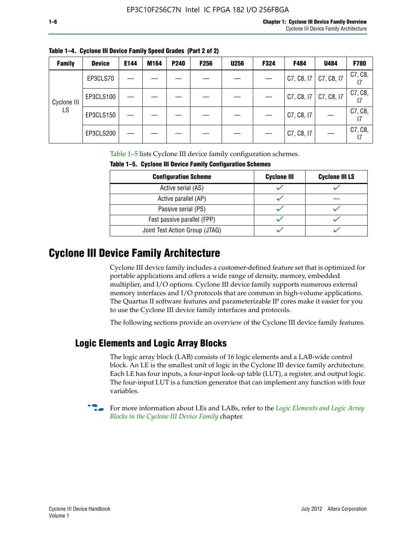| <b>Family</b> | <b>Device</b> | E144 | M164 | <b>P240</b> | <b>F256</b> | <b>U256</b> | F324 | F484       | U484       | <b>F780</b> |
|---------------|---------------|------|------|-------------|-------------|-------------|------|------------|------------|-------------|
| Cyclone III   | EP3CLS70      |      |      |             |             |             |      | C7, C8, 17 | C7, C8, I7 | C7, C8,     |
|               | EP3CLS100     |      |      |             |             |             |      | C7, C8, I7 | C7, C8, I7 | C7, C8,     |
| LS            | EP3CLS150     |      |      |             |             |             |      | C7, C8, I7 |            | C7, C8,     |
|               | EP3CLS200     |      |      |             |             |             |      | C7, C8, I7 |            | C7, C8,     |

**Table 1–4. Cyclone III Device Family Speed Grades (Part 2 of 2)**

Table 1–5 lists Cyclone III device family configuration schemes.

| <b>IQUIE 1-3. CYCLUILE III DEVICE FAILIIV CUILILUILATION SCIIENIES</b> |                    |                       |  |  |  |
|------------------------------------------------------------------------|--------------------|-----------------------|--|--|--|
| <b>Configuration Scheme</b>                                            | <b>Cyclone III</b> | <b>Cyclone III LS</b> |  |  |  |
| Active serial (AS)                                                     |                    |                       |  |  |  |
| Active parallel (AP)                                                   |                    |                       |  |  |  |
| Passive serial (PS)                                                    |                    |                       |  |  |  |
| Fast passive parallel (FPP)                                            |                    |                       |  |  |  |
| Joint Test Action Group (JTAG)                                         |                    |                       |  |  |  |

**Table 1–5. Cyclone III Device Family Configuration Schemes**

## **Cyclone III Device Family Architecture**

Cyclone III device family includes a customer-defined feature set that is optimized for portable applications and offers a wide range of density, memory, embedded multiplier, and I/O options. Cyclone III device family supports numerous external memory interfaces and I/O protocols that are common in high-volume applications. The Quartus II software features and parameterizable IP cores make it easier for you to use the Cyclone III device family interfaces and protocols.

The following sections provide an overview of the Cyclone III device family features.

#### **Logic Elements and Logic Array Blocks**

The logic array block (LAB) consists of 16 logic elements and a LAB-wide control block. An LE is the smallest unit of logic in the Cyclone III device family architecture. Each LE has four inputs, a four-input look-up table (LUT), a register, and output logic. The four-input LUT is a function generator that can implement any function with four variables.

f For more information about LEs and LABs, refer to the *[Logic Elements and Logic Array](http://www.altera.com/literature/hb/cyc3/cyc3_ciii51002.pdf)  [Blocks in the Cyclone III Device Family](http://www.altera.com/literature/hb/cyc3/cyc3_ciii51002.pdf)* chapter.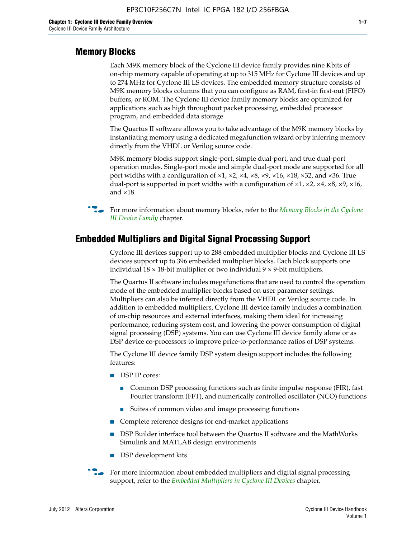#### **Memory Blocks**

Each M9K memory block of the Cyclone III device family provides nine Kbits of on-chip memory capable of operating at up to 315 MHz for Cyclone III devices and up to 274 MHz for Cyclone III LS devices. The embedded memory structure consists of M9K memory blocks columns that you can configure as RAM, first-in first-out (FIFO) buffers, or ROM. The Cyclone III device family memory blocks are optimized for applications such as high throughout packet processing, embedded processor program, and embedded data storage.

The Quartus II software allows you to take advantage of the M9K memory blocks by instantiating memory using a dedicated megafunction wizard or by inferring memory directly from the VHDL or Verilog source code.

M9K memory blocks support single-port, simple dual-port, and true dual-port operation modes. Single-port mode and simple dual-port mode are supported for all port widths with a configuration of  $\times1$ ,  $\times2$ ,  $\times4$ ,  $\times8$ ,  $\times9$ ,  $\times16$ ,  $\times18$ ,  $\times32$ , and  $\times36$ . True dual-port is supported in port widths with a configuration of  $\times$ 1,  $\times$ 2,  $\times$ 4,  $\times$ 8,  $\times$ 9,  $\times$ 16, and ×18.



**For more information about memory blocks, refer to the** *Memory Blocks in the Cyclone [III Device Family](http://www.altera.com/literature/hb/cyc3/cyc3_ciii51004.pdf)* chapter.

#### **Embedded Multipliers and Digital Signal Processing Support**

Cyclone III devices support up to 288 embedded multiplier blocks and Cyclone III LS devices support up to 396 embedded multiplier blocks. Each block supports one individual  $18 \times 18$ -bit multiplier or two individual  $9 \times 9$ -bit multipliers.

The Quartus II software includes megafunctions that are used to control the operation mode of the embedded multiplier blocks based on user parameter settings. Multipliers can also be inferred directly from the VHDL or Verilog source code. In addition to embedded multipliers, Cyclone III device family includes a combination of on-chip resources and external interfaces, making them ideal for increasing performance, reducing system cost, and lowering the power consumption of digital signal processing (DSP) systems. You can use Cyclone III device family alone or as DSP device co-processors to improve price-to-performance ratios of DSP systems.

The Cyclone III device family DSP system design support includes the following features:

- DSP IP cores:
	- Common DSP processing functions such as finite impulse response (FIR), fast Fourier transform (FFT), and numerically controlled oscillator (NCO) functions
	- Suites of common video and image processing functions
- Complete reference designs for end-market applications
- DSP Builder interface tool between the Quartus II software and the MathWorks Simulink and MATLAB design environments
- DSP development kits
- For more information about embedded multipliers and digital signal processing support, refer to the *[Embedded Multipliers in Cyclone III Devices](http://www.altera.com/literature/hb/cyc3/cyc3_ciii51005.pdf)* chapter.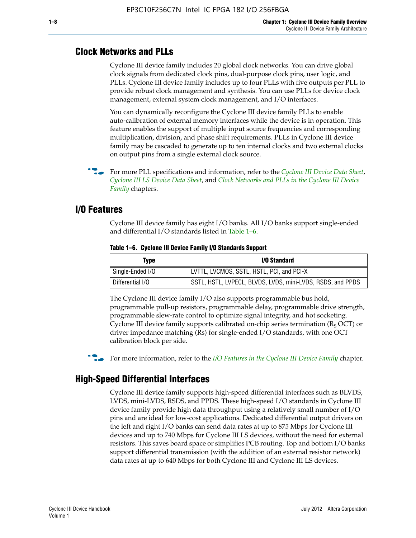#### **Clock Networks and PLLs**

Cyclone III device family includes 20 global clock networks. You can drive global clock signals from dedicated clock pins, dual-purpose clock pins, user logic, and PLLs. Cyclone III device family includes up to four PLLs with five outputs per PLL to provide robust clock management and synthesis. You can use PLLs for device clock management, external system clock management, and I/O interfaces.

You can dynamically reconfigure the Cyclone III device family PLLs to enable auto-calibration of external memory interfaces while the device is in operation. This feature enables the support of multiple input source frequencies and corresponding multiplication, division, and phase shift requirements. PLLs in Cyclone III device family may be cascaded to generate up to ten internal clocks and two external clocks on output pins from a single external clock source.

**For more PLL specifications and information, refer to the** *[Cyclone III Device Data Sheet](http://www.altera.com/literature/hb/cyc3/cyc3_ciii52001.pdf)***,** *[Cyclone III LS Device Data Sheet](http://www.altera.com/literature/hb/cyc3/cyc3_ciii52002.pdf)*, and *[Clock Networks and PLLs in the Cyclone III Device](http://www.altera.com/literature/hb/cyc3/cyc3_ciii51006.pdf)  [Family](http://www.altera.com/literature/hb/cyc3/cyc3_ciii51006.pdf)* chapters.

#### **I/O Features**

Cyclone III device family has eight I/O banks. All I/O banks support single-ended and differential I/O standards listed in Table 1–6.

| Type             | <b>I/O Standard</b>                                        |
|------------------|------------------------------------------------------------|
| Single-Ended I/O | LVTTL, LVCMOS, SSTL, HSTL, PCI, and PCI-X                  |
| Differential I/O | SSTL, HSTL, LVPECL, BLVDS, LVDS, mini-LVDS, RSDS, and PPDS |

**Table 1–6. Cyclone III Device Family I/O Standards Support** 

The Cyclone III device family I/O also supports programmable bus hold, programmable pull-up resistors, programmable delay, programmable drive strength, programmable slew-rate control to optimize signal integrity, and hot socketing. Cyclone III device family supports calibrated on-chip series termination ( $R_S$  OCT) or driver impedance matching (Rs) for single-ended I/O standards, with one OCT calibration block per side.

For more information, refer to the *[I/O Features in the Cyclone III Device Family](http://www.altera.com/literature/hb/cyc3/cyc3_ciii51007.pdf)* chapter.

#### **High-Speed Differential Interfaces**

Cyclone III device family supports high-speed differential interfaces such as BLVDS, LVDS, mini-LVDS, RSDS, and PPDS. These high-speed I/O standards in Cyclone III device family provide high data throughput using a relatively small number of I/O pins and are ideal for low-cost applications. Dedicated differential output drivers on the left and right I/O banks can send data rates at up to 875 Mbps for Cyclone III devices and up to 740 Mbps for Cyclone III LS devices, without the need for external resistors. This saves board space or simplifies PCB routing. Top and bottom I/O banks support differential transmission (with the addition of an external resistor network) data rates at up to 640 Mbps for both Cyclone III and Cyclone III LS devices.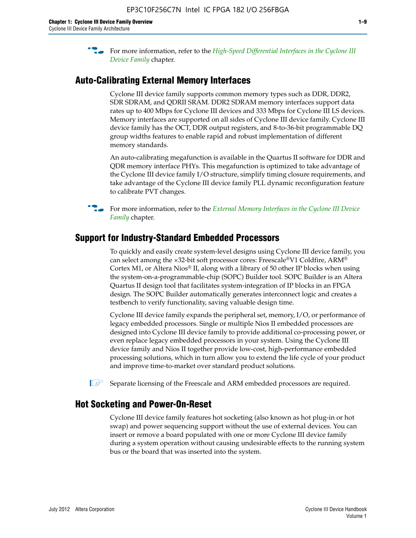**For more information, refer to the** *High-Speed Differential Interfaces in the Cyclone III* $\overline{a}$ *[Device Family](http://www.altera.com/literature/hb/cyc3/cyc3_ciii51008.pdf)* chapter.

#### **Auto-Calibrating External Memory Interfaces**

Cyclone III device family supports common memory types such as DDR, DDR2, SDR SDRAM, and QDRII SRAM. DDR2 SDRAM memory interfaces support data rates up to 400 Mbps for Cyclone III devices and 333 Mbps for Cyclone III LS devices. Memory interfaces are supported on all sides of Cyclone III device family. Cyclone III device family has the OCT, DDR output registers, and 8-to-36-bit programmable DQ group widths features to enable rapid and robust implementation of different memory standards.

An auto-calibrating megafunction is available in the Quartus II software for DDR and QDR memory interface PHYs. This megafunction is optimized to take advantage of the Cyclone III device family I/O structure, simplify timing closure requirements, and take advantage of the Cyclone III device family PLL dynamic reconfiguration feature to calibrate PVT changes.

**For more information, refer to the** *External Memory Interfaces in the Cyclone III Device [Family](http://www.altera.com/literature/hb/cyc3/cyc3_ciii51009.pdf)* chapter.

#### **Support for Industry-Standard Embedded Processors**

To quickly and easily create system-level designs using Cyclone III device family, you can select among the ×32-bit soft processor cores: Freescale®V1 Coldfire, ARM® Cortex M1, or Altera Nios® II, along with a library of 50 other IP blocks when using the system-on-a-programmable-chip (SOPC) Builder tool. SOPC Builder is an Altera Quartus II design tool that facilitates system-integration of IP blocks in an FPGA design. The SOPC Builder automatically generates interconnect logic and creates a testbench to verify functionality, saving valuable design time.

Cyclone III device family expands the peripheral set, memory, I/O, or performance of legacy embedded processors. Single or multiple Nios II embedded processors are designed into Cyclone III device family to provide additional co-processing power, or even replace legacy embedded processors in your system. Using the Cyclone III device family and Nios II together provide low-cost, high-performance embedded processing solutions, which in turn allow you to extend the life cycle of your product and improve time-to-market over standard product solutions.

 $\mathbb{I}$  Separate licensing of the Freescale and ARM embedded processors are required.

#### **Hot Socketing and Power-On-Reset**

Cyclone III device family features hot socketing (also known as hot plug-in or hot swap) and power sequencing support without the use of external devices. You can insert or remove a board populated with one or more Cyclone III device family during a system operation without causing undesirable effects to the running system bus or the board that was inserted into the system.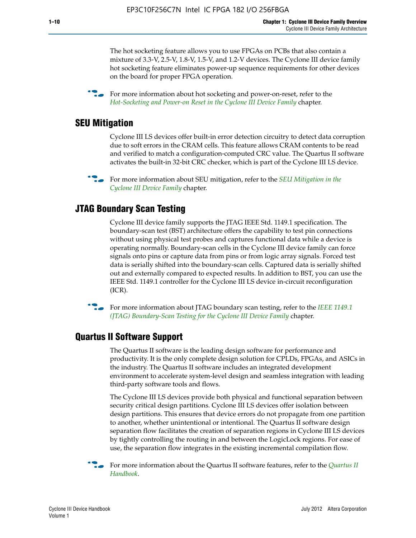The hot socketing feature allows you to use FPGAs on PCBs that also contain a mixture of 3.3-V, 2.5-V, 1.8-V, 1.5-V, and 1.2-V devices. The Cyclone III device family hot socketing feature eliminates power-up sequence requirements for other devices on the board for proper FPGA operation.

For more information about hot socketing and power-on-reset, refer to the *[Hot-Socketing and Power-on Reset in the Cyclone III Device Family](http://www.altera.com/literature/hb/cyc3/cyc3_ciii51011.pdf)* chapter.

#### **SEU Mitigation**

Cyclone III LS devices offer built-in error detection circuitry to detect data corruption due to soft errors in the CRAM cells. This feature allows CRAM contents to be read and verified to match a configuration-computed CRC value. The Quartus II software activates the built-in 32-bit CRC checker, which is part of the Cyclone III LS device.

**For more information about SEU mitigation, refer to the** *SEU Mitigation in the [Cyclone III Device Family](http://www.altera.com/literature/hb/cyc3/cyc3_ciii51013.pdf)* chapter.

#### **JTAG Boundary Scan Testing**

Cyclone III device family supports the JTAG IEEE Std. 1149.1 specification. The boundary-scan test (BST) architecture offers the capability to test pin connections without using physical test probes and captures functional data while a device is operating normally. Boundary-scan cells in the Cyclone III device family can force signals onto pins or capture data from pins or from logic array signals. Forced test data is serially shifted into the boundary-scan cells. Captured data is serially shifted out and externally compared to expected results. In addition to BST, you can use the IEEE Std. 1149.1 controller for the Cyclone III LS device in-circuit reconfiguration (ICR).

**f f**or more information about JTAG boundary scan testing, refer to the *IEEE* 1149.1 *[\(JTAG\) Boundary-Scan Testing for the Cyclone III Device Family](http://www.altera.com/literature/hb/cyc3/cyc3_ciii51014.pdf)* chapter.

#### **Quartus II Software Support**

The Quartus II software is the leading design software for performance and productivity. It is the only complete design solution for CPLDs, FPGAs, and ASICs in the industry. The Quartus II software includes an integrated development environment to accelerate system-level design and seamless integration with leading third-party software tools and flows.

The Cyclone III LS devices provide both physical and functional separation between security critical design partitions. Cyclone III LS devices offer isolation between design partitions. This ensures that device errors do not propagate from one partition to another, whether unintentional or intentional. The Quartus II software design separation flow facilitates the creation of separation regions in Cyclone III LS devices by tightly controlling the routing in and between the LogicLock regions. For ease of use, the separation flow integrates in the existing incremental compilation flow.

f For more information about the Quartus II software features, refer to the *[Quartus II](http://www.altera.com/literature/hb/qts/quartusii_handbook.pdf)  [Handbook](http://www.altera.com/literature/hb/qts/quartusii_handbook.pdf)*.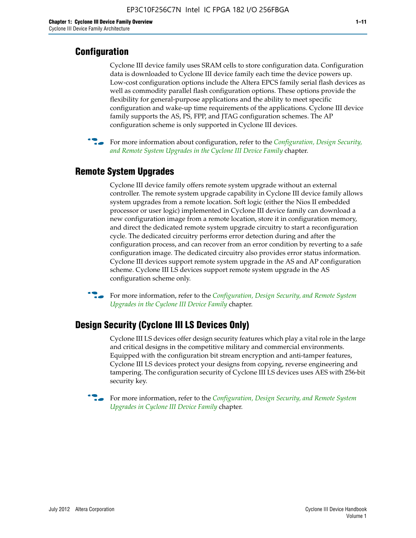### **Configuration**

Cyclone III device family uses SRAM cells to store configuration data. Configuration data is downloaded to Cyclone III device family each time the device powers up. Low-cost configuration options include the Altera EPCS family serial flash devices as well as commodity parallel flash configuration options. These options provide the flexibility for general-purpose applications and the ability to meet specific configuration and wake-up time requirements of the applications. Cyclone III device family supports the AS, PS, FPP, and JTAG configuration schemes. The AP configuration scheme is only supported in Cyclone III devices.



f For more information about configuration, refer to the *[Configuration, Design Security,](http://www.altera.com/literature/hb/cyc3/cyc3_ciii51016.pdf)  [and Remote System Upgrades in the Cyclone III Device Family](http://www.altera.com/literature/hb/cyc3/cyc3_ciii51016.pdf)* chapter.

### **Remote System Upgrades**

Cyclone III device family offers remote system upgrade without an external controller. The remote system upgrade capability in Cyclone III device family allows system upgrades from a remote location. Soft logic (either the Nios II embedded processor or user logic) implemented in Cyclone III device family can download a new configuration image from a remote location, store it in configuration memory, and direct the dedicated remote system upgrade circuitry to start a reconfiguration cycle. The dedicated circuitry performs error detection during and after the configuration process, and can recover from an error condition by reverting to a safe configuration image. The dedicated circuitry also provides error status information. Cyclone III devices support remote system upgrade in the AS and AP configuration scheme. Cyclone III LS devices support remote system upgrade in the AS configuration scheme only.

**For more information, refer to the** *Configuration, Design Security, and Remote System [Upgrades in the Cyclone III Device Family](http://www.altera.com/literature/hb/cyc3/cyc3_ciii51016.pdf)* chapter.

#### **Design Security (Cyclone III LS Devices Only)**

Cyclone III LS devices offer design security features which play a vital role in the large and critical designs in the competitive military and commercial environments. Equipped with the configuration bit stream encryption and anti-tamper features, Cyclone III LS devices protect your designs from copying, reverse engineering and tampering. The configuration security of Cyclone III LS devices uses AES with 256-bit security key.

f For more information, refer to the *[Configuration, Design Security, and Remote System](http://www.altera.com/literature/hb/cyc3/cyc3_ciii51016.pdf)  [Upgrades in Cyclone III Device Family](http://www.altera.com/literature/hb/cyc3/cyc3_ciii51016.pdf)* chapter.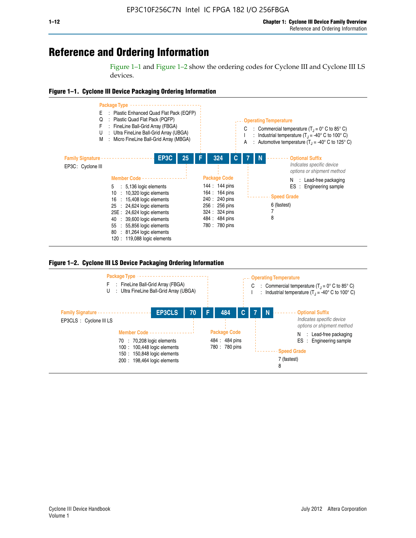# **Reference and Ordering Information**

Figure 1–1 and Figure 1–2 show the ordering codes for Cyclone III and Cyclone III LS devices.







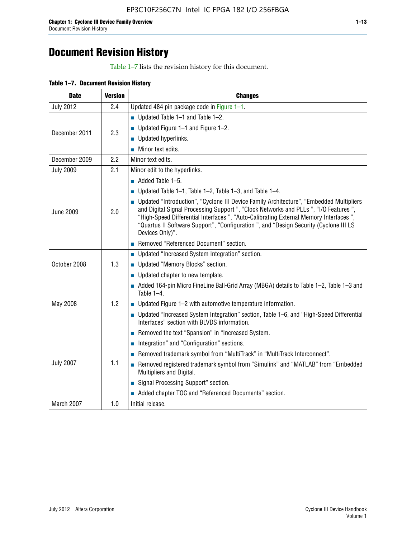# **Document Revision History**

Table 1–7 lists the revision history for this document.

| <b>Date</b>      | <b>Version</b> | <b>Changes</b>                                                                                                                                                                                                                                                                                                                                                                          |
|------------------|----------------|-----------------------------------------------------------------------------------------------------------------------------------------------------------------------------------------------------------------------------------------------------------------------------------------------------------------------------------------------------------------------------------------|
| <b>July 2012</b> | 2.4            | Updated 484 pin package code in Figure 1-1.                                                                                                                                                                                                                                                                                                                                             |
|                  |                | ■ Updated Table $1-1$ and Table $1-2$ .                                                                                                                                                                                                                                                                                                                                                 |
| December 2011    | 2.3            | ■ Updated Figure $1-1$ and Figure $1-2$ .                                                                                                                                                                                                                                                                                                                                               |
|                  |                | Updated hyperlinks.                                                                                                                                                                                                                                                                                                                                                                     |
|                  |                | Minor text edits.                                                                                                                                                                                                                                                                                                                                                                       |
| December 2009    | 2.2            | Minor text edits.                                                                                                                                                                                                                                                                                                                                                                       |
| <b>July 2009</b> | 2.1            | Minor edit to the hyperlinks.                                                                                                                                                                                                                                                                                                                                                           |
|                  |                | $\blacksquare$ Added Table 1-5.                                                                                                                                                                                                                                                                                                                                                         |
|                  |                | ■ Updated Table 1–1, Table 1–2, Table 1–3, and Table 1–4.                                                                                                                                                                                                                                                                                                                               |
| <b>June 2009</b> | 2.0            | • Updated "Introduction", "Cyclone III Device Family Architecture", "Embedded Multipliers<br>and Digital Signal Processing Support ", "Clock Networks and PLLs ", "I/O Features ",<br>"High-Speed Differential Interfaces ", "Auto-Calibrating External Memory Interfaces",<br>"Quartus II Software Support", "Configuration ", and "Design Security (Cyclone III LS<br>Devices Only)". |
|                  |                | Removed "Referenced Document" section.                                                                                                                                                                                                                                                                                                                                                  |
|                  |                | • Updated "Increased System Integration" section.                                                                                                                                                                                                                                                                                                                                       |
| October 2008     | 1.3            | Updated "Memory Blocks" section.                                                                                                                                                                                                                                                                                                                                                        |
|                  |                | • Updated chapter to new template.                                                                                                                                                                                                                                                                                                                                                      |
|                  |                | Added 164-pin Micro FineLine Ball-Grid Array (MBGA) details to Table 1-2, Table 1-3 and<br>Table $1-4$ .                                                                                                                                                                                                                                                                                |
| May 2008         | 1.2            | $\blacksquare$ Updated Figure 1-2 with automotive temperature information.                                                                                                                                                                                                                                                                                                              |
|                  |                | • Updated "Increased System Integration" section, Table 1-6, and "High-Speed Differential<br>Interfaces" section with BLVDS information.                                                                                                                                                                                                                                                |
|                  |                | Removed the text "Spansion" in "Increased System.                                                                                                                                                                                                                                                                                                                                       |
|                  |                | Integration" and "Configuration" sections.                                                                                                                                                                                                                                                                                                                                              |
|                  |                | Removed trademark symbol from "MultiTrack" in "MultiTrack Interconnect".                                                                                                                                                                                                                                                                                                                |
| <b>July 2007</b> | 1.1            | Removed registered trademark symbol from "Simulink" and "MATLAB" from "Embedded<br>Multipliers and Digital.                                                                                                                                                                                                                                                                             |
|                  |                | Signal Processing Support" section.                                                                                                                                                                                                                                                                                                                                                     |
|                  |                | Added chapter TOC and "Referenced Documents" section.                                                                                                                                                                                                                                                                                                                                   |
| March 2007       | 1.0            | Initial release.                                                                                                                                                                                                                                                                                                                                                                        |